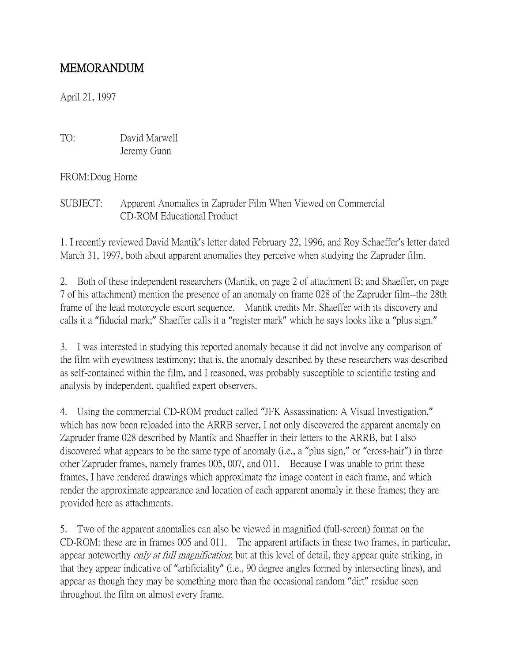## MEMORANDUM

April 21, 1997

TO: David Marwell Jeremy Gunn

FROM:Doug Horne

SUBJECT: Apparent Anomalies in Zapruder Film When Viewed on Commercial CD-ROM Educational Product

1. I recently reviewed David Mantik's letter dated February 22, 1996, and Roy Schaeffer's letter dated March 31, 1997, both about apparent anomalies they perceive when studying the Zapruder film.

2. Both of these independent researchers (Mantik, on page 2 of attachment B; and Shaeffer, on page 7 of his attachment) mention the presence of an anomaly on frame 028 of the Zapruder film--the 28th frame of the lead motorcycle escort sequence. Mantik credits Mr. Shaeffer with its discovery and calls it a "fiducial mark;" Shaeffer calls it a "register mark" which he says looks like a "plus sign."

3. I was interested in studying this reported anomaly because it did not involve any comparison of the film with eyewitness testimony; that is, the anomaly described by these researchers was described as self-contained within the film, and I reasoned, was probably susceptible to scientific testing and analysis by independent, qualified expert observers.

4. Using the commercial CD-ROM product called "JFK Assassination: A Visual Investigation," which has now been reloaded into the ARRB server, I not only discovered the apparent anomaly on Zapruder frame 028 described by Mantik and Shaeffer in their letters to the ARRB, but I also discovered what appears to be the same type of anomaly (i.e., a "plus sign," or "cross-hair") in three other Zapruder frames, namely frames 005, 007, and 011. Because I was unable to print these frames, I have rendered drawings which approximate the image content in each frame, and which render the approximate appearance and location of each apparent anomaly in these frames; they are provided here as attachments.

5. Two of the apparent anomalies can also be viewed in magnified (full-screen) format on the CD-ROM: these are in frames 005 and 011. The apparent artifacts in these two frames, in particular, appear noteworthy *only at full magnification*; but at this level of detail, they appear quite striking, in that they appear indicative of "artificiality" (i.e., 90 degree angles formed by intersecting lines), and appear as though they may be something more than the occasional random "dirt" residue seen throughout the film on almost every frame.